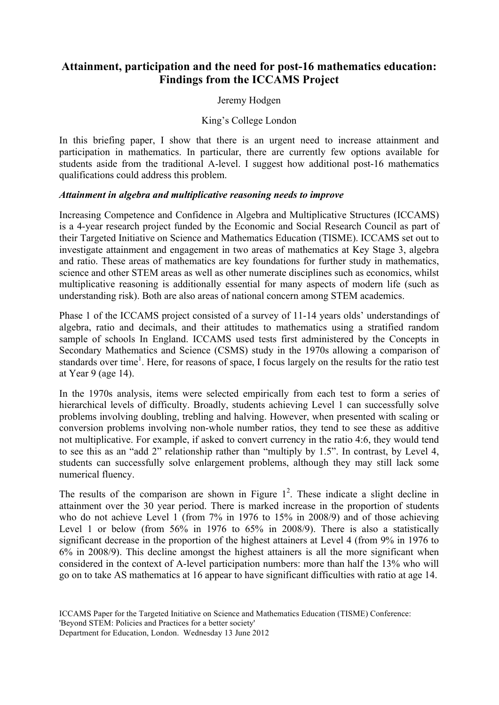# **Attainment, participation and the need for post-16 mathematics education: Findings from the ICCAMS Project**

# Jeremy Hodgen

# King's College London

In this briefing paper, I show that there is an urgent need to increase attainment and participation in mathematics. In particular, there are currently few options available for students aside from the traditional A-level. I suggest how additional post-16 mathematics qualifications could address this problem.

#### *Attainment in algebra and multiplicative reasoning needs to improve*

Increasing Competence and Confidence in Algebra and Multiplicative Structures (ICCAMS) is a 4-year research project funded by the Economic and Social Research Council as part of their Targeted Initiative on Science and Mathematics Education (TISME). ICCAMS set out to investigate attainment and engagement in two areas of mathematics at Key Stage 3, algebra and ratio. These areas of mathematics are key foundations for further study in mathematics, science and other STEM areas as well as other numerate disciplines such as economics, whilst multiplicative reasoning is additionally essential for many aspects of modern life (such as understanding risk). Both are also areas of national concern among STEM academics.

Phase 1 of the ICCAMS project consisted of a survey of 11-14 years olds' understandings of algebra, ratio and decimals, and their attitudes to mathematics using a stratified random sample of schools In England. ICCAMS used tests first administered by the Concepts in Secondary Mathematics and Science (CSMS) study in the 1970s allowing a comparison of standards over time<sup>1</sup>. Here, for reasons of space, I focus largely on the results for the ratio test at Year 9 (age 14).

In the 1970s analysis, items were selected empirically from each test to form a series of hierarchical levels of difficulty. Broadly, students achieving Level 1 can successfully solve problems involving doubling, trebling and halving. However, when presented with scaling or conversion problems involving non-whole number ratios, they tend to see these as additive not multiplicative. For example, if asked to convert currency in the ratio 4:6, they would tend to see this as an "add 2" relationship rather than "multiply by 1.5". In contrast, by Level 4, students can successfully solve enlargement problems, although they may still lack some numerical fluency.

The results of the comparison are shown in Figure  $1^2$ . These indicate a slight decline in attainment over the 30 year period. There is marked increase in the proportion of students who do not achieve Level 1 (from 7% in 1976 to 15% in 2008/9) and of those achieving Level 1 or below (from 56% in 1976 to 65% in 2008/9). There is also a statistically significant decrease in the proportion of the highest attainers at Level 4 (from 9% in 1976 to 6% in 2008/9). This decline amongst the highest attainers is all the more significant when considered in the context of A-level participation numbers: more than half the 13% who will go on to take AS mathematics at 16 appear to have significant difficulties with ratio at age 14.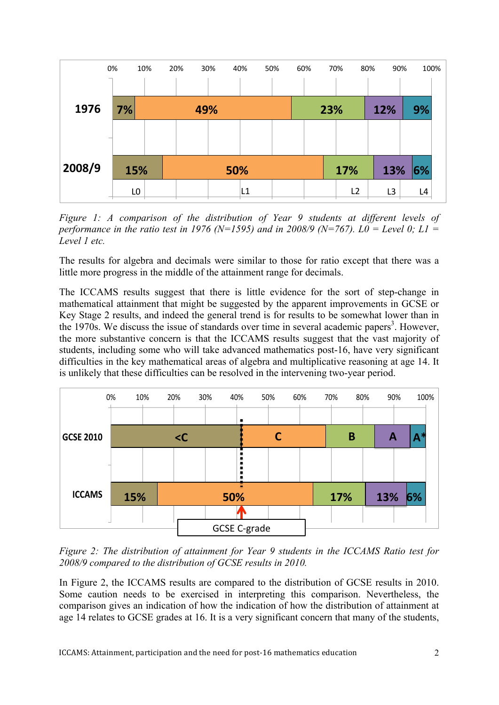

*Figure 1: A comparison of the distribution of Year 9 students at different levels of performance in the ratio test in 1976 (N=1595) and in 2008/9 (N=767). L0 = Level 0; L1 = Level 1 etc.*

The results for algebra and decimals were similar to those for ratio except that there was a little more progress in the middle of the attainment range for decimals.

The ICCAMS results suggest that there is little evidence for the sort of step-change in mathematical attainment that might be suggested by the apparent improvements in GCSE or Key Stage 2 results, and indeed the general trend is for results to be somewhat lower than in the 1970s. We discuss the issue of standards over time in several academic papers<sup>3</sup>. However, the more substantive concern is that the ICCAMS results suggest that the vast majority of students, including some who will take advanced mathematics post-16, have very significant difficulties in the key mathematical areas of algebra and multiplicative reasoning at age 14. It is unlikely that these difficulties can be resolved in the intervening two-year period.



*Figure 2: The distribution of attainment for Year 9 students in the ICCAMS Ratio test for 2008/9 compared to the distribution of GCSE results in 2010.* 

In Figure 2, the ICCAMS results are compared to the distribution of GCSE results in 2010. Some caution needs to be exercised in interpreting this comparison. Nevertheless, the comparison gives an indication of how the indication of how the distribution of attainment at age 14 relates to GCSE grades at 16. It is a very significant concern that many of the students,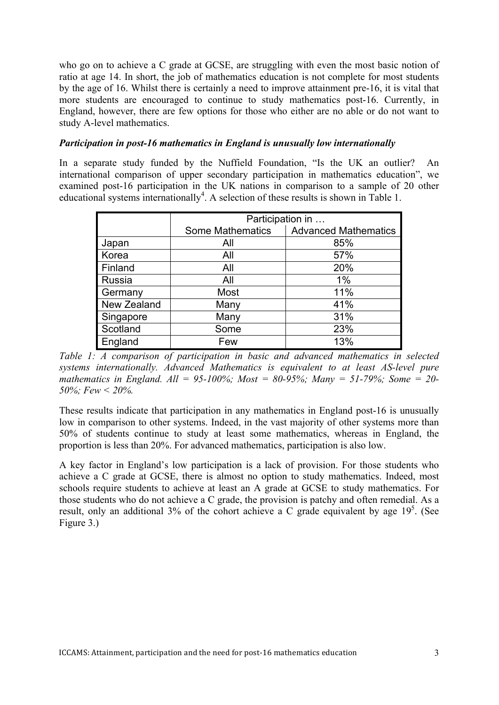who go on to achieve a C grade at GCSE, are struggling with even the most basic notion of ratio at age 14. In short, the job of mathematics education is not complete for most students by the age of 16. Whilst there is certainly a need to improve attainment pre-16, it is vital that more students are encouraged to continue to study mathematics post-16. Currently, in England, however, there are few options for those who either are no able or do not want to study A-level mathematics.

# *Participation in post-16 mathematics in England is unusually low internationally*

In a separate study funded by the Nuffield Foundation, "Is the UK an outlier? An international comparison of upper secondary participation in mathematics education", we examined post-16 participation in the UK nations in comparison to a sample of 20 other educational systems internationally<sup>4</sup>. A selection of these results is shown in Table 1.

|             | Participation in        |                             |
|-------------|-------------------------|-----------------------------|
|             | <b>Some Mathematics</b> | <b>Advanced Mathematics</b> |
| Japan       | All                     | 85%                         |
| Korea       | All                     | 57%                         |
| Finland     | All                     | 20%                         |
| Russia      | All                     | 1%                          |
| Germany     | Most                    | 11%                         |
| New Zealand | Many                    | 41%                         |
| Singapore   | Many                    | 31%                         |
| Scotland    | Some                    | 23%                         |
| England     | Few                     | 13%                         |

*Table 1: A comparison of participation in basic and advanced mathematics in selected systems internationally. Advanced Mathematics is equivalent to at least AS-level pure mathematics in England. All = 95-100%; Most = 80-95%; Many = 51-79%; Some = 20- 50%; Few < 20%.*

These results indicate that participation in any mathematics in England post-16 is unusually low in comparison to other systems. Indeed, in the vast majority of other systems more than 50% of students continue to study at least some mathematics, whereas in England, the proportion is less than 20%. For advanced mathematics, participation is also low.

A key factor in England's low participation is a lack of provision. For those students who achieve a C grade at GCSE, there is almost no option to study mathematics. Indeed, most schools require students to achieve at least an A grade at GCSE to study mathematics. For those students who do not achieve a C grade, the provision is patchy and often remedial. As a result, only an additional 3% of the cohort achieve a C grade equivalent by age  $19<sup>5</sup>$ . (See Figure 3.)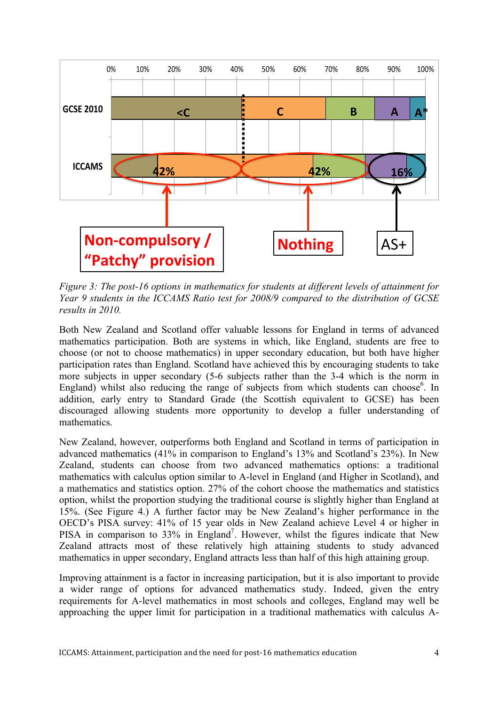

*Figure 3: The post-16 options in mathematics for students at different levels of attainment for Year 9 students in the ICCAMS Ratio test for 2008/9 compared to the distribution of GCSE results in 2010.* 

Both New Zealand and Scotland offer valuable lessons for England in terms of advanced mathematics participation. Both are systems in which, like England, students are free to choose (or not to choose mathematics) in upper secondary education, but both have higher participation rates than England. Scotland have achieved this by encouraging students to take more subjects in upper secondary (5-6 subjects rather than the 3-4 which is the norm in England) whilst also reducing the range of subjects from which students can choose<sup>6</sup>. In addition, early entry to Standard Grade (the Scottish equivalent to GCSE) has been discouraged allowing students more opportunity to develop a fuller understanding of mathematics.

New Zealand, however, outperforms both England and Scotland in terms of participation in advanced mathematics (41% in comparison to England's 13% and Scotland's 23%). In New Zealand, students can choose from two advanced mathematics options: a traditional mathematics with calculus option similar to A-level in England (and Higher in Scotland), and a mathematics and statistics option. 27% of the cohort choose the mathematics and statistics option, whilst the proportion studying the traditional course is slightly higher than England at 15%. (See Figure 4.) A further factor may be New Zealand's higher performance in the OECD's PISA survey: 41% of 15 year olds in New Zealand achieve Level 4 or higher in PISA in comparison to 33% in England<sup>7</sup>. However, whilst the figures indicate that New Zealand attracts most of these relatively high attaining students to study advanced mathematics in upper secondary, England attracts less than half of this high attaining group.

Improving attainment is a factor in increasing participation, but it is also important to provide a wider range of options for advanced mathematics study. Indeed, given the entry requirements for A-level mathematics in most schools and colleges, England may well be approaching the upper limit for participation in a traditional mathematics with calculus A-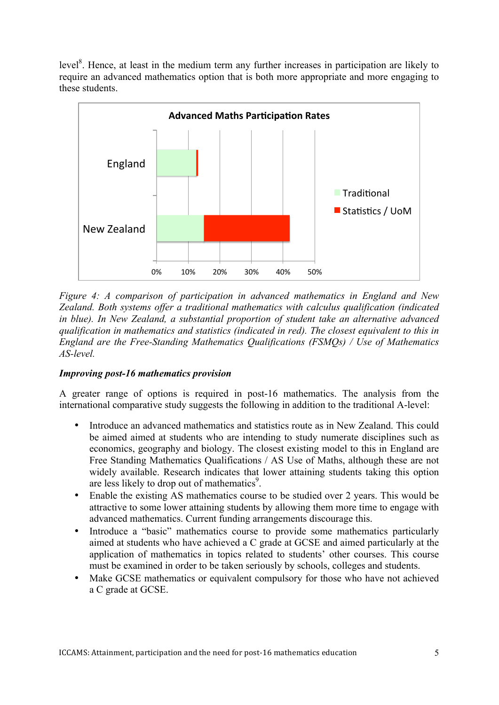level<sup>8</sup>. Hence, at least in the medium term any further increases in participation are likely to require an advanced mathematics option that is both more appropriate and more engaging to these students.



*Figure 4: A comparison of participation in advanced mathematics in England and New Zealand. Both systems offer a traditional mathematics with calculus qualification (indicated in blue). In New Zealand, a substantial proportion of student take an alternative advanced qualification in mathematics and statistics (indicated in red). The closest equivalent to this in England are the Free-Standing Mathematics Qualifications (FSMQs) / Use of Mathematics AS-level.*

# *Improving post-16 mathematics provision*

A greater range of options is required in post-16 mathematics. The analysis from the international comparative study suggests the following in addition to the traditional A-level:

- Introduce an advanced mathematics and statistics route as in New Zealand. This could be aimed aimed at students who are intending to study numerate disciplines such as economics, geography and biology. The closest existing model to this in England are Free Standing Mathematics Qualifications / AS Use of Maths, although these are not widely available. Research indicates that lower attaining students taking this option are less likely to drop out of mathematics<sup>9</sup>.
- Enable the existing AS mathematics course to be studied over 2 years. This would be attractive to some lower attaining students by allowing them more time to engage with advanced mathematics. Current funding arrangements discourage this.
- Introduce a "basic" mathematics course to provide some mathematics particularly aimed at students who have achieved a C grade at GCSE and aimed particularly at the application of mathematics in topics related to students' other courses. This course must be examined in order to be taken seriously by schools, colleges and students.
- Make GCSE mathematics or equivalent compulsory for those who have not achieved a C grade at GCSE.